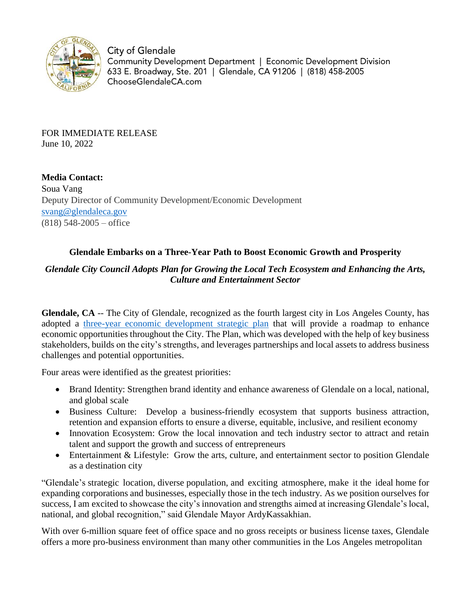

City of Glendale Community Development Department | Economic Development Division 633 E. Broadway, Ste. 201 | Glendale, CA 91206 | (818) 458-2005 ChooseGlendaleCA.com

FOR IMMEDIATE RELEASE June 10, 2022

**Media Contact:** Soua Vang Deputy Director of Community Development/Economic Development [svang@glendaleca.gov](mailto:svang@glendaleca.gov) (818) 548-2005 – office

## **Glendale Embarks on a Three-Year Path to Boost Economic Growth and Prosperity**

## *Glendale City Council Adopts Plan for Growing the Local Tech Ecosystem and Enhancing the Arts, Culture and Entertainment Sector*

**Glendale, CA** -- The City of Glendale, recognized as the fourth largest city in Los Angeles County, has adopted a [three-year economic development strategic plan](https://www.chooseglendaleca.com/strategic-plan) that will provide a roadmap to enhance economic opportunities throughout the City. The Plan, which was developed with the help of key business stakeholders, builds on the city's strengths, and leverages partnerships and local assets to address business challenges and potential opportunities.

Four areas were identified as the greatest priorities:

- Brand Identity: Strengthen brand identity and enhance awareness of Glendale on a local, national, and global scale
- Business Culture: Develop a business-friendly ecosystem that supports business attraction, retention and expansion efforts to ensure a diverse, equitable, inclusive, and resilient economy
- Innovation Ecosystem: Grow the local innovation and tech industry sector to attract and retain talent and support the growth and success of entrepreneurs
- Entertainment & Lifestyle: Grow the arts, culture, and entertainment sector to position Glendale as a destination city

"Glendale's strategic location, diverse population, and exciting atmosphere, make it the ideal home for expanding corporations and businesses, especially those in the tech industry. As we position ourselves for success, I am excited to showcase the city's innovation and strengths aimed at increasing Glendale's local, national, and global recognition," said Glendale Mayor ArdyKassakhian.

With over 6-million square feet of office space and no gross receipts or business license taxes, Glendale offers a more pro-business environment than many other communities in the Los Angeles metropolitan